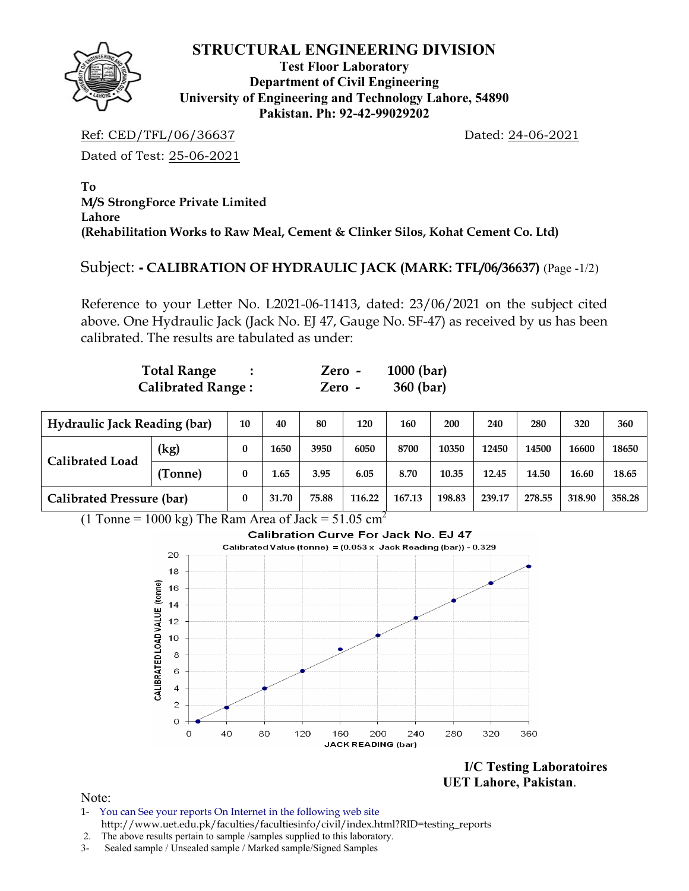

## **STRUCTURAL ENGINEERING DIVISION**

**Test Floor Laboratory Department of Civil Engineering University of Engineering and Technology Lahore, 54890 Pakistan. Ph: 92-42-99029202** 

Ref: CED/TFL/06/36637 Dated: 24-06-2021

Dated of Test: 25-06-2021

**To M/S StrongForce Private Limited Lahore (Rehabilitation Works to Raw Meal, Cement & Clinker Silos, Kohat Cement Co. Ltd)** 

## Subject: **- CALIBRATION OF HYDRAULIC JACK (MARK: TFL/06/36637)** (Page -1/2)

Reference to your Letter No. L2021-06-11413, dated: 23/06/2021 on the subject cited above. One Hydraulic Jack (Jack No. EJ 47, Gauge No. SF-47) as received by us has been calibrated. The results are tabulated as under:

| <b>Total Range</b>       | Zero - | $1000$ (bar) |
|--------------------------|--------|--------------|
| <b>Calibrated Range:</b> | Zero - | 360 (bar)    |

| <b>Hydraulic Jack Reading (bar)</b> |         | 10       | 40    | 80    | 120    | 160    | 200    | 240    | 280    | 320    | 360    |
|-------------------------------------|---------|----------|-------|-------|--------|--------|--------|--------|--------|--------|--------|
| Calibrated Load                     | (kg)    | 0        | 1650  | 3950  | 6050   | 8700   | 10350  | 12450  | 14500  | 16600  | 18650  |
|                                     | (Tonne) | $\bf{0}$ | 1.65  | 3.95  | 6.05   | 8.70   | 10.35  | 12.45  | 14.50  | 16.60  | 18.65  |
| <b>Calibrated Pressure (bar)</b>    |         | $\bf{0}$ | 31.70 | 75.88 | 116.22 | 167.13 | 198.83 | 239.17 | 278.55 | 318.90 | 358.28 |

(1 Tonne = 1000 kg) The Ram Area of Jack =  $51.05 \text{ cm}^2$ 



**I/C Testing Laboratoires UET Lahore, Pakistan**.

Note:

- 1- You can See your reports On Internet in the following web site http://www.uet.edu.pk/faculties/facultiesinfo/civil/index.html?RID=testing\_reports
- 2. The above results pertain to sample /samples supplied to this laboratory.
- 3- Sealed sample / Unsealed sample / Marked sample/Signed Samples